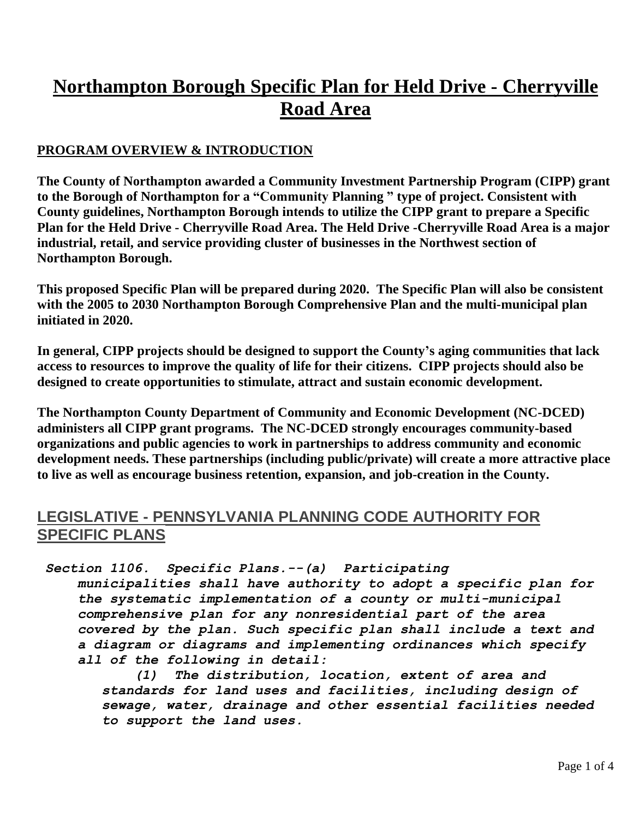# **Northampton Borough Specific Plan for Held Drive - Cherryville Road Area**

#### **PROGRAM OVERVIEW & INTRODUCTION**

**The County of Northampton awarded a Community Investment Partnership Program (CIPP) grant to the Borough of Northampton for a "Community Planning " type of project. Consistent with County guidelines, Northampton Borough intends to utilize the CIPP grant to prepare a Specific Plan for the Held Drive - Cherryville Road Area. The Held Drive -Cherryville Road Area is a major industrial, retail, and service providing cluster of businesses in the Northwest section of Northampton Borough.**

**This proposed Specific Plan will be prepared during 2020. The Specific Plan will also be consistent with the 2005 to 2030 Northampton Borough Comprehensive Plan and the multi-municipal plan initiated in 2020.**

**In general, CIPP projects should be designed to support the County's aging communities that lack access to resources to improve the quality of life for their citizens. CIPP projects should also be designed to create opportunities to stimulate, attract and sustain economic development.**

**The Northampton County Department of Community and Economic Development (NC-DCED) administers all CIPP grant programs. The NC-DCED strongly encourages community-based organizations and public agencies to work in partnerships to address community and economic development needs. These partnerships (including public/private) will create a more attractive place to live as well as encourage business retention, expansion, and job-creation in the County.**

#### **LEGISLATIVE - PENNSYLVANIA PLANNING CODE AUTHORITY FOR SPECIFIC PLANS**

#### *Section 1106. Specific Plans.--(a) Participating*

 *municipalities shall have authority to adopt a specific plan for the systematic implementation of a county or multi-municipal comprehensive plan for any nonresidential part of the area covered by the plan. Such specific plan shall include a text and a diagram or diagrams and implementing ordinances which specify all of the following in detail:*

 *(1) The distribution, location, extent of area and standards for land uses and facilities, including design of sewage, water, drainage and other essential facilities needed to support the land uses.*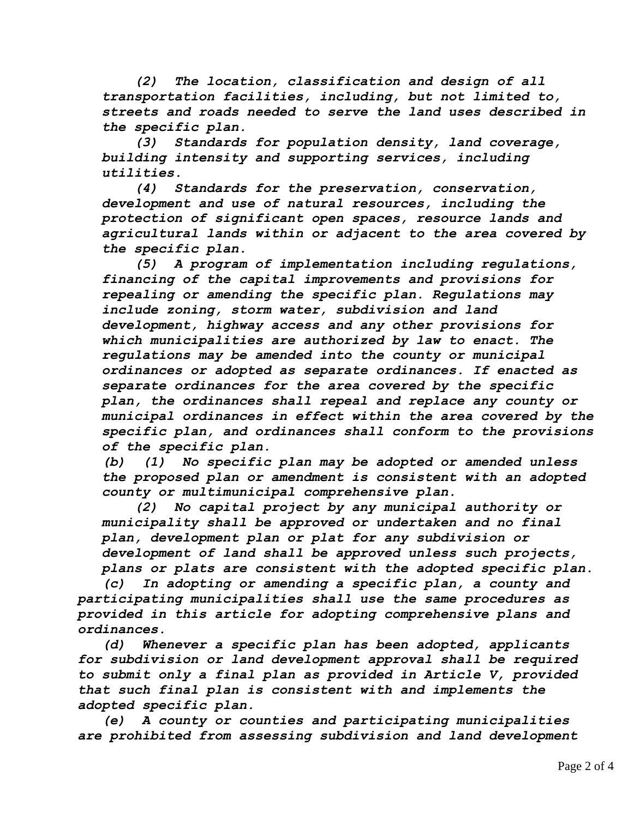*(2) The location, classification and design of all transportation facilities, including, but not limited to, streets and roads needed to serve the land uses described in the specific plan.*

 *(3) Standards for population density, land coverage, building intensity and supporting services, including utilities.*

 *(4) Standards for the preservation, conservation, development and use of natural resources, including the protection of significant open spaces, resource lands and agricultural lands within or adjacent to the area covered by the specific plan.*

 *(5) A program of implementation including regulations, financing of the capital improvements and provisions for repealing or amending the specific plan. Regulations may include zoning, storm water, subdivision and land development, highway access and any other provisions for which municipalities are authorized by law to enact. The regulations may be amended into the county or municipal ordinances or adopted as separate ordinances. If enacted as separate ordinances for the area covered by the specific plan, the ordinances shall repeal and replace any county or municipal ordinances in effect within the area covered by the specific plan, and ordinances shall conform to the provisions of the specific plan.*

 *(b) (1) No specific plan may be adopted or amended unless the proposed plan or amendment is consistent with an adopted county or multimunicipal comprehensive plan.*

 *(2) No capital project by any municipal authority or municipality shall be approved or undertaken and no final plan, development plan or plat for any subdivision or development of land shall be approved unless such projects, plans or plats are consistent with the adopted specific plan.*

 *(c) In adopting or amending a specific plan, a county and participating municipalities shall use the same procedures as provided in this article for adopting comprehensive plans and ordinances.*

 *(d) Whenever a specific plan has been adopted, applicants for subdivision or land development approval shall be required to submit only a final plan as provided in Article V, provided that such final plan is consistent with and implements the adopted specific plan.*

 *(e) A county or counties and participating municipalities are prohibited from assessing subdivision and land development*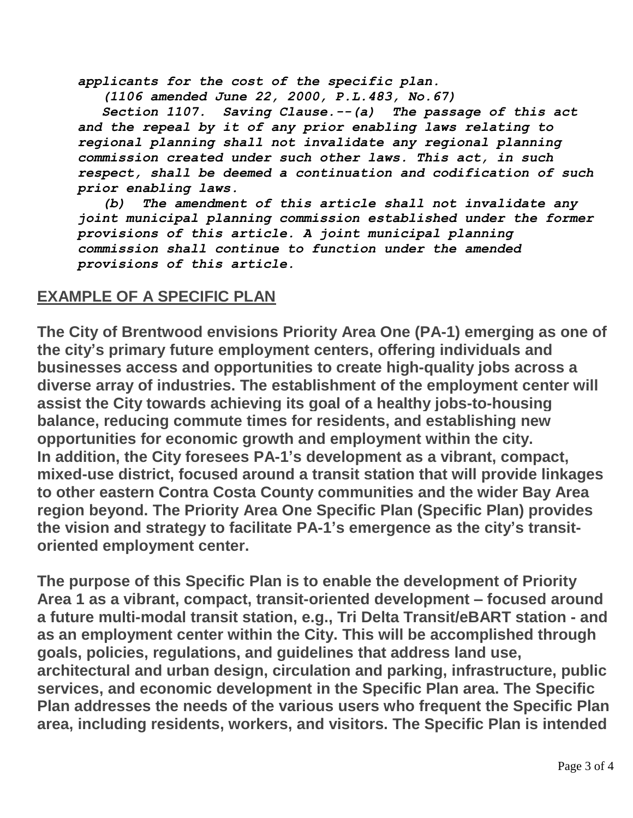*applicants for the cost of the specific plan.*

 *(1106 amended June 22, 2000, P.L.483, No.67)*

 *Section 1107. Saving Clause.--(a) The passage of this act and the repeal by it of any prior enabling laws relating to regional planning shall not invalidate any regional planning commission created under such other laws. This act, in such respect, shall be deemed a continuation and codification of such prior enabling laws.*

 *(b) The amendment of this article shall not invalidate any joint municipal planning commission established under the former provisions of this article. A joint municipal planning commission shall continue to function under the amended provisions of this article.*

### **EXAMPLE OF A SPECIFIC PLAN**

**The City of Brentwood envisions Priority Area One (PA-1) emerging as one of the city's primary future employment centers, offering individuals and businesses access and opportunities to create high-quality jobs across a diverse array of industries. The establishment of the employment center will assist the City towards achieving its goal of a healthy jobs-to-housing balance, reducing commute times for residents, and establishing new opportunities for economic growth and employment within the city. In addition, the City foresees PA-1's development as a vibrant, compact, mixed-use district, focused around a transit station that will provide linkages to other eastern Contra Costa County communities and the wider Bay Area region beyond. The Priority Area One Specific Plan (Specific Plan) provides the vision and strategy to facilitate PA-1's emergence as the city's transitoriented employment center.**

**The purpose of this Specific Plan is to enable the development of Priority Area 1 as a vibrant, compact, transit-oriented development – focused around a future multi-modal transit station, e.g., Tri Delta Transit/eBART station - and as an employment center within the City. This will be accomplished through goals, policies, regulations, and guidelines that address land use, architectural and urban design, circulation and parking, infrastructure, public services, and economic development in the Specific Plan area. The Specific Plan addresses the needs of the various users who frequent the Specific Plan area, including residents, workers, and visitors. The Specific Plan is intended**